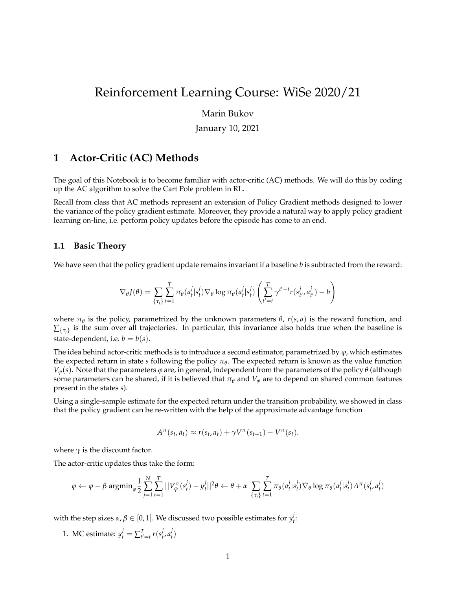# Reinforcement Learning Course: WiSe 2020/21

## Marin Bukov

#### January 10, 2021

# **1 Actor-Critic (AC) Methods**

The goal of this Notebook is to become familiar with actor-critic (AC) methods. We will do this by coding up the AC algorithm to solve the Cart Pole problem in RL.

Recall from class that AC methods represent an extension of Policy Gradient methods designed to lower the variance of the policy gradient estimate. Moreover, they provide a natural way to apply policy gradient learning on-line, i.e. perform policy updates before the episode has come to an end.

## **1.1 Basic Theory**

We have seen that the policy gradient update remains invariant if a baseline *b* is subtracted from the reward:

$$
\nabla_{\theta} J(\theta) = \sum_{\{\tau_j\}} \sum_{t=1}^T \pi_{\theta}(a_t^j | s_t^j) \nabla_{\theta} \log \pi_{\theta}(a_t^j | s_t^j) \left( \sum_{t'=t}^T \gamma^{t'-t} r(s_{t'}^j, a_{t'}^j) - b \right)
$$

where  $\pi_{\theta}$  is the policy, parametrized by the unknown parameters  $\theta$ ,  $r(s, a)$  is the reward function, and  $\Sigma_{\{\tau_j\}}$  is the sum over all trajectories. In particular, this invariance also holds true when the baseline is state-dependent, i.e.  $b = b(s)$ .

The idea behind actor-critic methods is to introduce a second estimator, parametrized by *ϕ*, which estimates the expected return in state *s* following the policy  $\pi_{\theta}$ . The expected return is known as the value function  $V_{\varphi}(s)$ . Note that the parameters  $\varphi$  are, in general, independent from the parameters of the policy  $\theta$  (although some parameters can be shared, if it is believed that  $\pi_{\theta}$  and  $V_{\varphi}$  are to depend on shared common features present in the states *s*).

Using a single-sample estimate for the expected return under the transition probability, we showed in class that the policy gradient can be re-written with the help of the approximate advantage function

$$
A^{\pi}(s_t, a_t) \approx r(s_t, a_t) + \gamma V^{\pi}(s_{t+1}) - V^{\pi}(s_t).
$$

where  $\gamma$  is the discount factor.

The actor-critic updates thus take the form:

$$
\varphi \leftarrow \varphi - \beta \text{ argmin}_{\varphi} \frac{1}{2} \sum_{j=1}^N \sum_{t=1}^T ||V_{\varphi}^{\pi}(s_t^j) - y_t^j||^2 \theta \leftarrow \theta + \alpha \sum_{\{\tau_j\}} \sum_{t=1}^T \pi_{\theta}(a_t^j | s_t^j) \nabla_{\theta} \log \pi_{\theta}(a_t^j | s_t^j) A^{\pi}(s_t^j, a_t^j)
$$

with the step sizes  $\alpha, \beta \in [0,1].$  We discussed two possible estimates for  $y_t^j$ *t* :

1. MC estimate:  $y_t^j = \sum_{t'=t}^T r(s_t^j)$ *t* , *a j t* )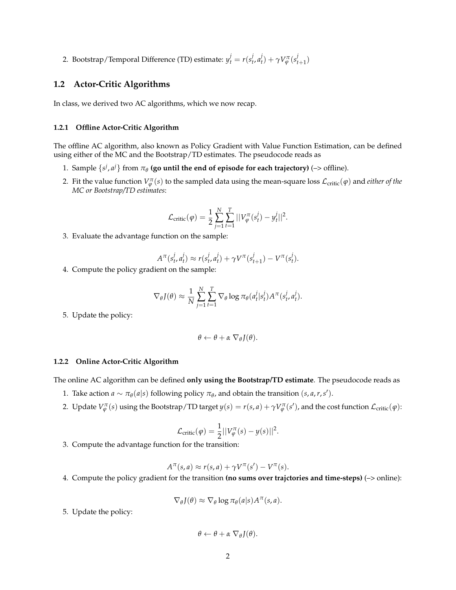2. Bootstrap/Temporal Difference (TD) estimate:  $y_t^j = r(s_t^j)$ *t* , *a j*  $\gamma_t^j$ ) +  $\gamma V_{\varphi}^{\pi}(s_t^j)$  $_{t+1}^{(l)}$ 

## **1.2 Actor-Critic Algorithms**

In class, we derived two AC algorithms, which we now recap.

#### **1.2.1 Offline Actor-Critic Algorithm**

The offline AC algorithm, also known as Policy Gradient with Value Function Estimation, can be defined using either of the MC and the Bootstrap/TD estimates. The pseudocode reads as

- 1. Sample  $\{s^j, a^j\}$  from  $\pi_\theta$  (go until the end of episode for each trajectory) (–> offline).
- 2. Fit the value function  $V^\pi_\varphi(s)$  to the sampled data using the mean-square loss  $\mathcal{L}_\text{critic}(\varphi)$  and *either of the MC or Bootstrap/TD estimates*:

$$
\mathcal{L}_{\text{critic}}(\varphi) = \frac{1}{2} \sum_{j=1}^{N} \sum_{t=1}^{T} ||V_{\varphi}^{\pi}(s_t^j) - y_t^j||^2.
$$

3. Evaluate the advantage function on the sample:

$$
A^{\pi}(s_t^j, a_t^j) \approx r(s_t^j, a_t^j) + \gamma V^{\pi}(s_{t+1}^j) - V^{\pi}(s_t^j).
$$

4. Compute the policy gradient on the sample:

$$
\nabla_{\theta} J(\theta) \approx \frac{1}{N} \sum_{j=1}^{N} \sum_{t=1}^{T} \nabla_{\theta} \log \pi_{\theta}(a_t^j | s_t^j) A^{\pi}(s_t^j, a_t^j).
$$

5. Update the policy:

$$
\theta \leftarrow \theta + \alpha \nabla_{\theta} J(\theta).
$$

#### **1.2.2 Online Actor-Critic Algorithm**

The online AC algorithm can be defined **only using the Bootstrap/TD estimate**. The pseudocode reads as

- 1. Take action  $a \sim \pi_{\theta}(a|s)$  following policy  $\pi_{\theta}$ , and obtain the transition  $(s, a, r, s')$ .
- 2. Update  $V^{\pi}_{\varphi}(s)$  using the Bootstrap/TD target  $y(s) = r(s, a) + \gamma V^{\pi}_{\varphi}(s')$ , and the cost function  $\mathcal{L}_{critic}(\varphi)$ :

$$
\mathcal{L}_{\text{critic}}(\varphi) = \frac{1}{2}||V_{\varphi}^{\pi}(s) - y(s)||^2.
$$

3. Compute the advantage function for the transition:

$$
A^{\pi}(s,a) \approx r(s,a) + \gamma V^{\pi}(s') - V^{\pi}(s).
$$

4. Compute the policy gradient for the transition **(no sums over trajctories and time-steps)** (–> online):

$$
\nabla_{\theta} J(\theta) \approx \nabla_{\theta} \log \pi_{\theta}(a|s) A^{\pi}(s,a).
$$

5. Update the policy:

$$
\theta \leftarrow \theta + \alpha \nabla_{\theta} J(\theta).
$$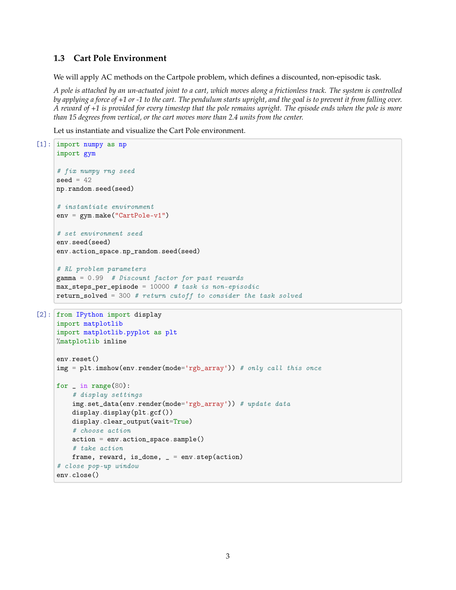# **1.3 Cart Pole Environment**

We will apply AC methods on the Cartpole problem, which defines a discounted, non-episodic task.

*A pole is attached by an un-actuated joint to a cart, which moves along a frictionless track. The system is controlled by applying a force of +1 or -1 to the cart. The pendulum starts upright, and the goal is to prevent it from falling over. A reward of +1 is provided for every timestep that the pole remains upright. The episode ends when the pole is more than 15 degrees from vertical, or the cart moves more than 2.4 units from the center.*

Let us instantiate and visualize the Cart Pole environment.

```
[1]: import numpy as np
     import gym
     # fix numpy rng seed
     seed = 42np.random.seed(seed)
     # instantiate environment
     env = gym.make("CartPole-v1")
     # set environment seed
     env.seed(seed)
     env.action_space.np_random.seed(seed)
     # RL problem parameters
     gamma = 0.99 # Discount factor for past rewards
     max\_steps\_per\_episode = 10000 # task is non-episodicreturn_solved = 300 # return cutoff to consider the task solved
[2]: from IPython import display
     import matplotlib
     import matplotlib.pyplot as plt
     %matplotlib inline
     env.reset()
     img = plt.inshow(env.random(model='rgb_array')) # only call this oncefor _ in range(80):
         # display settings
         img.set_data(env.render(mode='rgb_array')) # update data
         display.display(plt.gcf())
         display.clear_output(wait=True)
         # choose action
         action = env.action_space.sample()
         # take action
        frame, reward, is_done, = = env step(action)
     # close pop-up window
     env.close()
```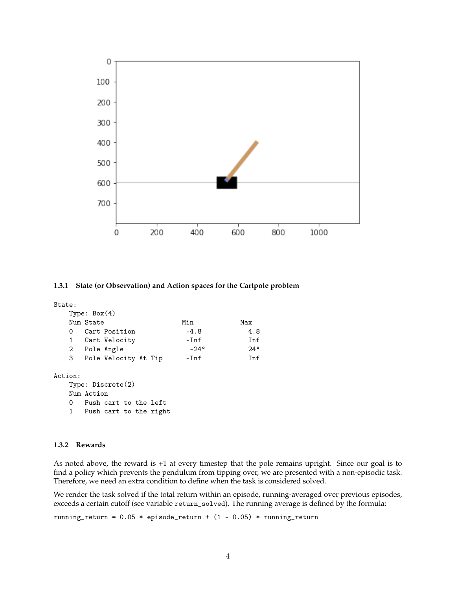

#### **1.3.1 State (or Observation) and Action spaces for the Cartpole problem**

# State: Type: Box(4) Num State Min Max 0 Cart Position -4.8 4.8 1 Cart Velocity - Inf Inf 2 Pole Angle -24° 24° 3 Pole Velocity At Tip -Inf Inf Action: Type: Discrete(2) Num Action 0 Push cart to the left

1 Push cart to the right

#### **1.3.2 Rewards**

As noted above, the reward is +1 at every timestep that the pole remains upright. Since our goal is to find a policy which prevents the pendulum from tipping over, we are presented with a non-episodic task. Therefore, we need an extra condition to define when the task is considered solved.

We render the task solved if the total return within an episode, running-averaged over previous episodes, exceeds a certain cutoff (see variable return\_solved). The running average is defined by the formula:

running\_return =  $0.05 *$  episode\_return +  $(1 - 0.05) *$  running\_return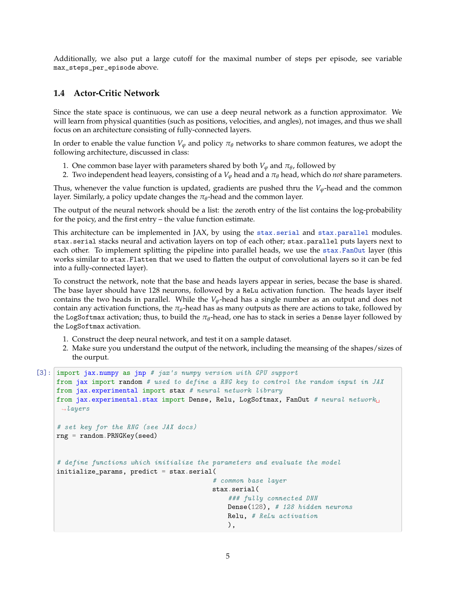Additionally, we also put a large cutoff for the maximal number of steps per episode, see variable max\_steps\_per\_episode above.

# **1.4 Actor-Critic Network**

Since the state space is continuous, we can use a deep neural network as a function approximator. We will learn from physical quantities (such as positions, velocities, and angles), not images, and thus we shall focus on an architecture consisting of fully-connected layers.

In order to enable the value function  $V_\varphi$  and policy  $\pi_\theta$  networks to share common features, we adopt the following architecture, discussed in class:

- 1. One common base layer with parameters shared by both  $V_{\varphi}$  and  $\pi_{\theta}$ , followed by
- 2. Two independent head leayers, consisting of a  $V_\varphi$  head and a  $\pi_\theta$  head, which do *not* share parameters.

Thus, whenever the value function is updated, gradients are pushed thru the  $V_{\varphi}$ -head and the common layer. Similarly, a policy update changes the  $\pi_{\theta}$ -head and the common layer.

The output of the neural network should be a list: the zeroth entry of the list contains the log-probability for the poicy, and the first entry – the value function estimate.

This architecture can be implemented in JAX, by using the stax serial and stax parallel modules. stax.serial stacks neural and activation layers on top of each other; stax.parallel puts layers next to each other. To implement splitting the pipeline into parallel heads, we use the [stax.FanOut](https://jax.readthedocs.io/en/latest/jax.experimental.stax.html#jax.experimental.stax.FanOut) layer (this works similar to stax.Flatten that we used to flatten the output of convolutional layers so it can be fed into a fully-connected layer).

To construct the network, note that the base and heads layers appear in series, becase the base is shared. The base layer should have 128 neurons, followed by a ReLu activation function. The heads layer itself contains the two heads in parallel. While the *Vϕ*-head has a single number as an output and does not  $\epsilon$  contain any activation functions, the  $\pi_\theta$ -head has as many outputs as there are actions to take, followed by the LogSoftmax activation; thus, to build the *π<sup>θ</sup>* -head, one has to stack in series a Dense layer followed by the LogSoftmax activation.

- 1. Construct the deep neural network, and test it on a sample dataset.
- 2. Make sure you understand the output of the network, including the meansing of the shapes/sizes of the ourput.

```
[3]: import jax.numpy as jnp # jax's numpy version with GPU support
     from jax import random # used to define a RNG key to control the random input in JAX
     from jax.experimental import stax # neural network library
     from jax.experimental.stax import Dense, Relu, LogSoftmax, FanOut # neural network
      \rightarrowlayers
     # set key for the RNG (see JAX docs)
     rng = random.PRNGKey(seed)
     # define functions which initialize the parameters and evaluate the model
     initialize_params, predict = stax.serial(
                                              # common base layer
                                              stax.serial(
                                                  ### fully connected DNN
                                                  Dense(128), # 128 hidden neurons
                                                  Relu, # ReLu activation
                                                  ),
```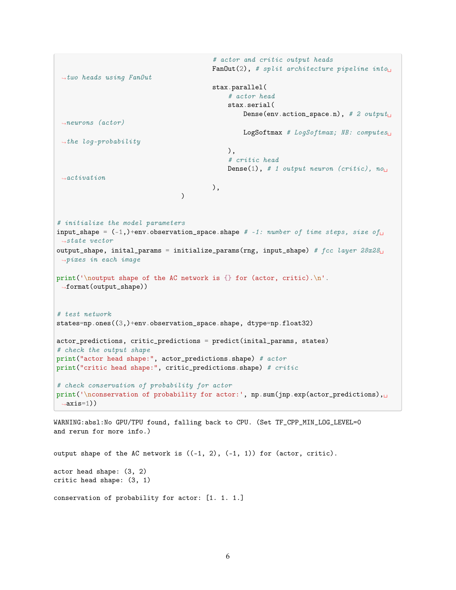```
# actor and critic output heads
                                            FanOut(2), # split architecture pipeline into
 \rightarrowtwo heads using FanOut
                                            stax.parallel(
                                                # actor head
                                                stax.serial(
                                                    Dense(env.action_space.n), # 2 output_{\square}\rightarrowneurons (actor)
                                                    LogSoftmax # LogSoftmax; NB: computes
 \rightarrowthe log-probability
                                                ),
                                                # critic head
                                                Dense(1), # 1 output neuron (critic), no<sub>□</sub>\rightarrowactivation
                                           ),
                                   \lambda# initialize the model parameters
input_shape = (-1,)+env.observation_space.shape # -1: number of time steps, size of
\iota\rightarrowstate vector
output_shape, inital_params = initialize_params(rng, input_shape) # fcc\ layer\ 28x28<sub>□</sub>\rightarrowpixes in each image
print('\noutput shape of the AC network is {} for (actor, critic).\n'.
 ,→format(output_shape))
# test network
states=np.ones((3,)+env.observation_space.shape, dtype=np.float32)
actor_predictions, critic_predictions = predict(inital_params, states)
# check the output shape
print("actor head shape:", actor_predictions.shape) # actor
print("critic head shape:", critic_predictions.shape) # critic
# check conservation of probability for actor
print('\nconservation of probability for actor:', np.sum(jnp.exp(actor_predictions),
 \rightarrowaxis=1))
```
WARNING:absl:No GPU/TPU found, falling back to CPU. (Set TF\_CPP\_MIN\_LOG\_LEVEL=0 and rerun for more info.)

output shape of the AC network is  $((-1, 2), (-1, 1))$  for  $(\arctan, \arctan)$ . actor head shape: (3, 2) critic head shape: (3, 1) conservation of probability for actor: [1. 1. 1.]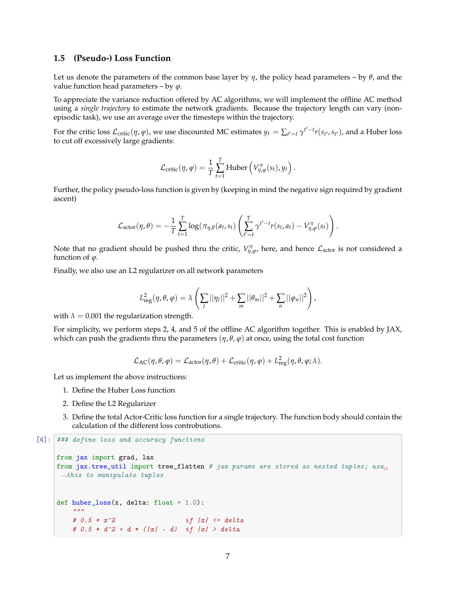## **1.5 (Pseudo-) Loss Function**

Let us denote the parameters of the common base layer by *η*, the policy head parameters – by *θ*, and the value function head parameters – by  $\varphi$ .

To appreciate the variance reduction offered by AC algorithms, we will implement the offline AC method using a *single trajectory* to estimate the network gradients. Because the trajectory length can vary (nonepisodic task), we use an average over the timesteps within the trajectory.

For the critic loss  $\mathcal{L}_{critic}(\eta,\varphi)$ , we use discounted MC estimates  $y_t = \sum_{t'=t} \gamma^{t'-t} r(s_{t'},s_{t'})$ , and a Huber loss to cut off excessively large gradients:

$$
\mathcal{L}_{\text{critic}}(\eta, \varphi) = \frac{1}{T} \sum_{t=1}^{T} \text{Huber}\left(V_{\eta, \varphi}^{\pi}(s_t), y_t\right).
$$

Further, the policy pseudo-loss function is given by (keeping in mind the negative sign required by gradient ascent)

$$
\mathcal{L}_{\text{actor}}(\eta, \theta) = -\frac{1}{T} \sum_{t=1}^T \log(\pi_{\eta, \theta}(a_t, s_t) \left( \sum_{t'=t}^T \gamma^{t'-t} r(s_t, a_t) - V_{\eta, \varphi}^{\pi}(s_t) \right).
$$

Note that no gradient should be pushed thru the critic,  $V_{\eta,\varphi}^{\pi}$ , here, and hence  $\mathcal{L}_{actor}$  is not considered a function of *ϕ*.

Finally, we also use an L2 regularizer on all network parameters

$$
L_{\mathrm{reg}}^2(\eta,\theta,\varphi)=\lambda\left(\sum_l||\eta_l||^2+\sum_m||\theta_m||^2+\sum_n||\varphi_n||^2\right),
$$

with  $\lambda = 0.001$  the regularization strength.

For simplicity, we perform steps 2, 4, and 5 of the offline AC algorithm together. This is enabled by JAX, which can push the gradients thru the parameters  $(\eta, \theta, \varphi)$  at once, using the total cost function

$$
\mathcal{L}_{AC}(\eta, \theta, \varphi) = \mathcal{L}_{actor}(\eta, \theta) + \mathcal{L}_{critic}(\eta, \varphi) + L_{reg}^{2}(\eta, \theta, \varphi; \lambda).
$$

Let us implement the above instructions:

- 1. Define the Huber Loss function
- 2. Define the L2 Regularizer
- 3. Define the total Actor-Critic loss function for a single trajectory. The function body should contain the calculation of the different loss controbutions.

```
[4]: ### define loss and accuracy functions
      from jax import grad, lax
      from jax.tree_util import tree_flatten # jax params are stored as nested tuples; use<sub>\square</sub>
      \rightarrowthis to manipulate tuples
      def huber_loss(x, delta: float = 1.0):
          \boldsymbol{u} \boldsymbol{u} \boldsymbol{u}# 0.5 * x^2 if |x| \leq delta
```
#  $0.5 * d^2 + d * (|x| - d)$  if  $|x| > delta$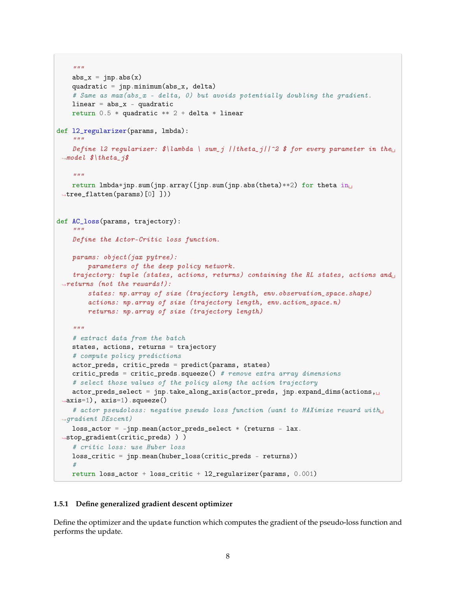```
"''"abs_x = jnp.abs(x)quadratic = jnp.minimum(abs_x, delta)
    # Same as max(abs_x - delta, 0) but avoids potentially doubling the gradient.
    linear = abs_x - quadraticreturn 0.5 * quadratic ** 2 + delta * linear
def l2_regularizer(params, lmbda):
    """
    Define 12 regularizer: \frac{\partial \ln \theta}{\partial x} | sum_j ||theta_j||^2 $ for every parameter in the<sub>u</sub>
 \rightarrowmodel \oint theta<sub>f</sub> is
    "''"''"return lmbda*jnp.sum(jnp.array([jnp.sum(jnp.abs(theta)**2) for theta in_{\text{L}}\rightarrowtree_flatten(params)[0] ]))
def AC_loss(params, trajectory):
    """""
    Define the Actor-Critic loss function.
    params: object(jax pytree):
        parameters of the deep policy network.
    trajectory: tuple (states, actions, returns) containing the RL states, actions and\mathbf{u}\rightarrowreturns (not the rewards!):
        states: np.array of size (trajectory length, env.observation_space.shape)
        actions: np.array of size (trajectory length, env.action_space.n)
        returns: np.array of size (trajectory length)
    \bar{n} \bar{n} \bar{n}# extract data from the batch
    states, actions, returns = trajectory
    # compute policy predictions
    actor_preds, critic_preds = predict(params, states)
    critic_preds = critic_preds.squeeze() # remove extra array dimensions
    # select those values of the policy along the action trajectory
    actor_preds_select = jnp.take_along_axis(actor_preds, jnp.expand_dims(actions,
 \rightarrowaxis=1), axis=1).squeeze()
    # actor pseudoloss: negative pseudo loss function (want to MAXimize reward with
 \rightarrowqradient DEscent)
    loss\_actor = -jnp_mean(actor_preds\_select * (returns - lax.,→stop_gradient(critic_preds) ) )
    # critic loss: use Huber loss
    loss_critic = jnp.mean(huber_loss(critic_preds - returns))
    #
    return loss_actor + loss_critic + l2_regularizer(params, 0.001)
```
## **1.5.1 Define generalized gradient descent optimizer**

Define the optimizer and the update function which computes the gradient of the pseudo-loss function and performs the update.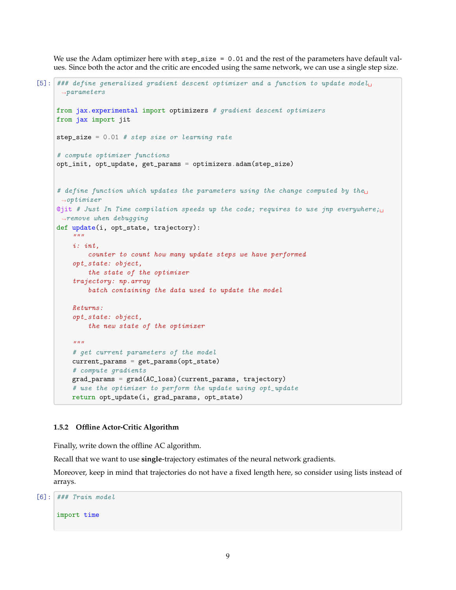We use the Adam optimizer here with step\_size = 0.01 and the rest of the parameters have default values. Since both the actor and the critic are encoded using the same network, we can use a single step size.

```
[5]: ### define generalized gradient descent optimizer and a function to update model␣
      \rightarrowparameters
     from jax.experimental import optimizers # gradient descent optimizers
     from jax import jit
     step_size = 0.01 # step size or learning rate
     # compute optimizer functions
     opt_init, opt_update, get_params = optimizers.adam(step_size)
     # define function which updates the parameters using the change computed by the
      \rightarrowoptimizer
     ©jit # Just In Time compilation speeds up the code; requires to use jnp everywhere;\Box\rightarrowremove when debugging
     def update(i, opt_state, trajectory):
         "''"i: int,
             counter to count how many update steps we have performed
         opt_state: object,
             the state of the optimizer
         trajectory: np.array
             batch containing the data used to update the model
         Returns:
         opt_state: object,
             the new state of the optimizer
         "''"# get current parameters of the model
         current_params = get_params(opt_state)
         # compute gradients
         grad_params = grad(AC_loss)(current_params, trajectory)
         # use the optimizer to perform the update using opt_update
         return opt_update(i, grad_params, opt_state)
```
#### **1.5.2 Offline Actor-Critic Algorithm**

Finally, write down the offline AC algorithm.

Recall that we want to use **single**-trajectory estimates of the neural network gradients.

Moreover, keep in mind that trajectories do not have a fixed length here, so consider using lists instead of arrays.

 $[6]$ : ### Train model

import time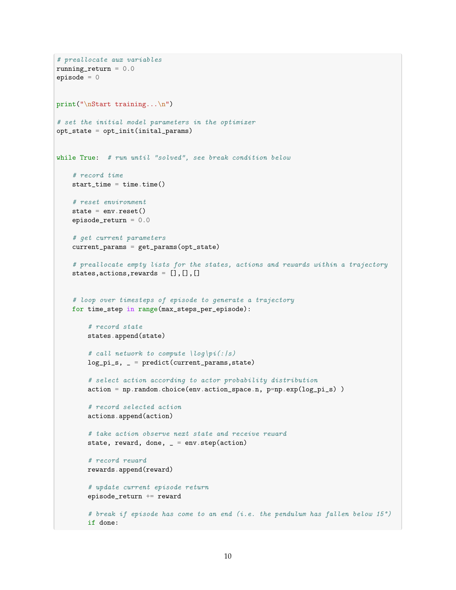```
# preallocate aux variables
running_return = 0.0episode = 0
print("\nStart training...\n")
# set the initial model parameters in the optimizer
opt_state = opt_init(inital_params)
while True: # run until "solved", see break condition below
    # record time
   start_time = time.time()
    # reset environment
   state = env \t{.} reset()episode_return = 0.0
    # get current parameters
    current_params = get_params(opt_state)
    # preallocate empty lists for the states, actions and rewards within a trajectory
    states,actions,rewards = [],[],[]
    # loop over timesteps of episode to generate a trajectory
    for time_step in range(max_steps_per_episode):
        # record state
        states.append(state)
        # call network to compute \log\left(\frac{e}{s}\right)log_p i_s, = predict(current_params, state)# select action according to actor probability distribution
        action = np.random.choice(env.action_space.n, p=np.exp(log_pi_s) )
        # record selected action
        actions.append(action)
        # take action observe next state and receive reward
        state, reward, done, = = env step(action)
        # record reward
        rewards.append(reward)
        # update current episode return
        episode_return += reward
        # break if episode has come to an end (i.e. the pendulum has fallen below 15°)
        if done:
```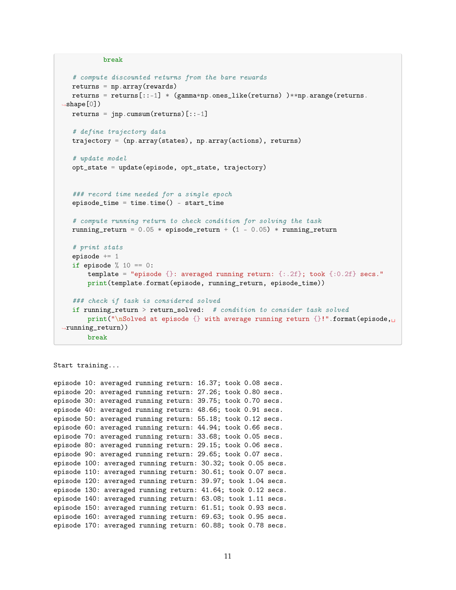```
break
   # compute discounted returns from the bare rewards
  returns = np.array(rewards)
  returns = returns[:-1] * (gamma*np.ones_like(returns)) **np.arange(returns.
\rightarrowshape[0])
  returns = inp.cumsum(returns)[::-1]
  # define trajectory data
  trajectory = (np.array(states), np.array(actions), returns)
  # update model
  opt_state = update(episode, opt_state, trajectory)
  ### record time needed for a single epoch
  episode_time = time.time() - start_time
  # compute running return to check condition for solving the task
  running_return = 0.05 * episode_return + (1 - 0.05) * running_return
  # print stats
  episode += 1
  if episode \% 10 == 0:
      template = "episode {}: averaged running return: {:.2f}; took {:0.2f} secs."
      print(template.format(episode, running_return, episode_time))
  ### check if task is considered solved
  if running_return > return_solved: # condition to consider task solved
      print("\nSolved at episode {} with average running return {}!".format(episode,
,→running_return))
      break
```

```
Start training...
episode 10: averaged running return: 16.37; took 0.08 secs.
episode 20: averaged running return: 27.26; took 0.80 secs.
episode 30: averaged running return: 39.75; took 0.70 secs.
episode 40: averaged running return: 48.66; took 0.91 secs.
episode 50: averaged running return: 55.18; took 0.12 secs.
episode 60: averaged running return: 44.94; took 0.66 secs.
episode 70: averaged running return: 33.68; took 0.05 secs.
episode 80: averaged running return: 29.15; took 0.06 secs.
episode 90: averaged running return: 29.65; took 0.07 secs.
episode 100: averaged running return: 30.32; took 0.05 secs.
episode 110: averaged running return: 30.61; took 0.07 secs.
episode 120: averaged running return: 39.97; took 1.04 secs.
episode 130: averaged running return: 41.64; took 0.12 secs.
episode 140: averaged running return: 63.08; took 1.11 secs.
episode 150: averaged running return: 61.51; took 0.93 secs.
episode 160: averaged running return: 69.63; took 0.95 secs.
episode 170: averaged running return: 60.88; took 0.78 secs.
```